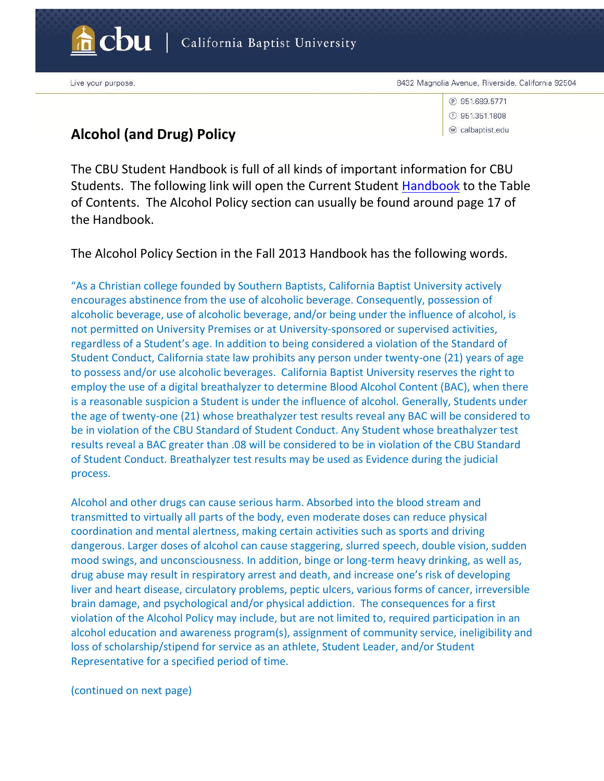

California Baptist University

Live your purpose.

<sup>(2)</sup> 951.689.5771  $(f)$  951.351.1808 w calbaptist.edu

## **Alcohol (and Drug) Policy**

The CBU Student Handbook is full of all kinds of important information for CBU Students. The following link will open the Current Student [Handbook](http://www.thezonelive.com/SchoolStructure/CA_CaliforniaBaptistCollege/handbook.pdf) to the Table of Contents. The Alcohol Policy section can usually be found around page 17 of the Handbook.

The Alcohol Policy Section in the Fall 2013 Handbook has the following words.

"As a Christian college founded by Southern Baptists, California Baptist University actively encourages abstinence from the use of alcoholic beverage. Consequently, possession of alcoholic beverage, use of alcoholic beverage, and/or being under the influence of alcohol, is not permitted on University Premises or at University-sponsored or supervised activities, regardless of a Student's age. In addition to being considered a violation of the Standard of Student Conduct, California state law prohibits any person under twenty-one (21) years of age to possess and/or use alcoholic beverages. California Baptist University reserves the right to employ the use of a digital breathalyzer to determine Blood Alcohol Content (BAC), when there is a reasonable suspicion a Student is under the influence of alcohol. Generally, Students under the age of twenty-one (21) whose breathalyzer test results reveal any BAC will be considered to be in violation of the CBU Standard of Student Conduct. Any Student whose breathalyzer test results reveal a BAC greater than .08 will be considered to be in violation of the CBU Standard of Student Conduct. Breathalyzer test results may be used as Evidence during the judicial process.

Alcohol and other drugs can cause serious harm. Absorbed into the blood stream and transmitted to virtually all parts of the body, even moderate doses can reduce physical coordination and mental alertness, making certain activities such as sports and driving dangerous. Larger doses of alcohol can cause staggering, slurred speech, double vision, sudden mood swings, and unconsciousness. In addition, binge or long-term heavy drinking, as well as, drug abuse may result in respiratory arrest and death, and increase one's risk of developing liver and heart disease, circulatory problems, peptic ulcers, various forms of cancer, irreversible brain damage, and psychological and/or physical addiction. The consequences for a first violation of the Alcohol Policy may include, but are not limited to, required participation in an alcohol education and awareness program(s), assignment of community service, ineligibility and loss of scholarship/stipend for service as an athlete, Student Leader, and/or Student Representative for a specified period of time.

(continued on next page)